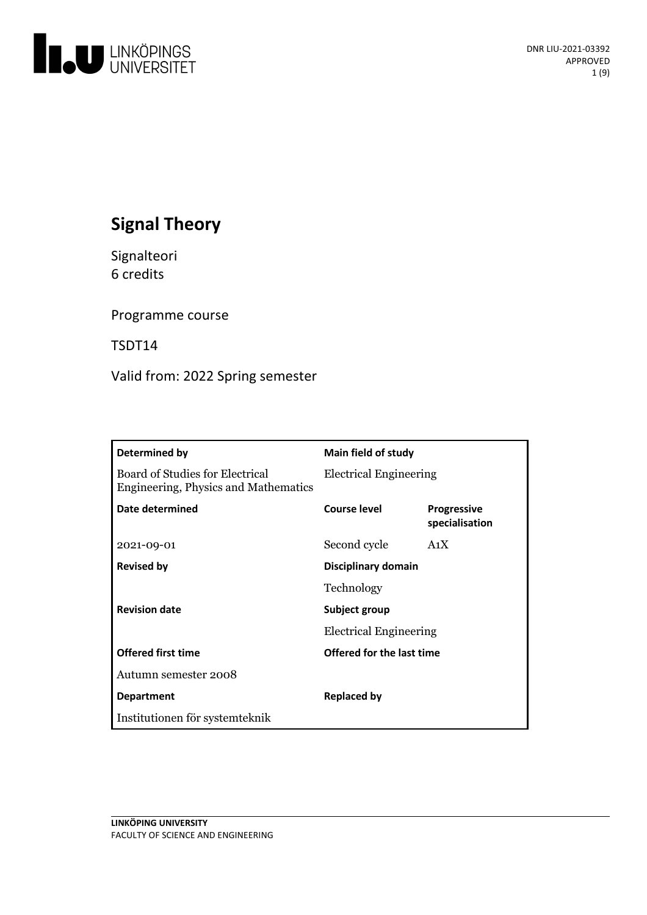

# **Signal Theory**

Signalteori 6 credits

Programme course

TSDT14

Valid from: 2022 Spring semester

| Determined by                                                           | Main field of study           |                                      |
|-------------------------------------------------------------------------|-------------------------------|--------------------------------------|
| Board of Studies for Electrical<br>Engineering, Physics and Mathematics | <b>Electrical Engineering</b> |                                      |
| Date determined                                                         | Course level                  | <b>Progressive</b><br>specialisation |
| 2021-09-01                                                              | Second cycle                  | A <sub>1</sub> X                     |
| <b>Revised by</b>                                                       | Disciplinary domain           |                                      |
|                                                                         | Technology                    |                                      |
| <b>Revision date</b>                                                    | Subject group                 |                                      |
|                                                                         | <b>Electrical Engineering</b> |                                      |
| <b>Offered first time</b>                                               | Offered for the last time     |                                      |
| Autumn semester 2008                                                    |                               |                                      |
| <b>Department</b>                                                       | <b>Replaced by</b>            |                                      |
| Institutionen för systemteknik                                          |                               |                                      |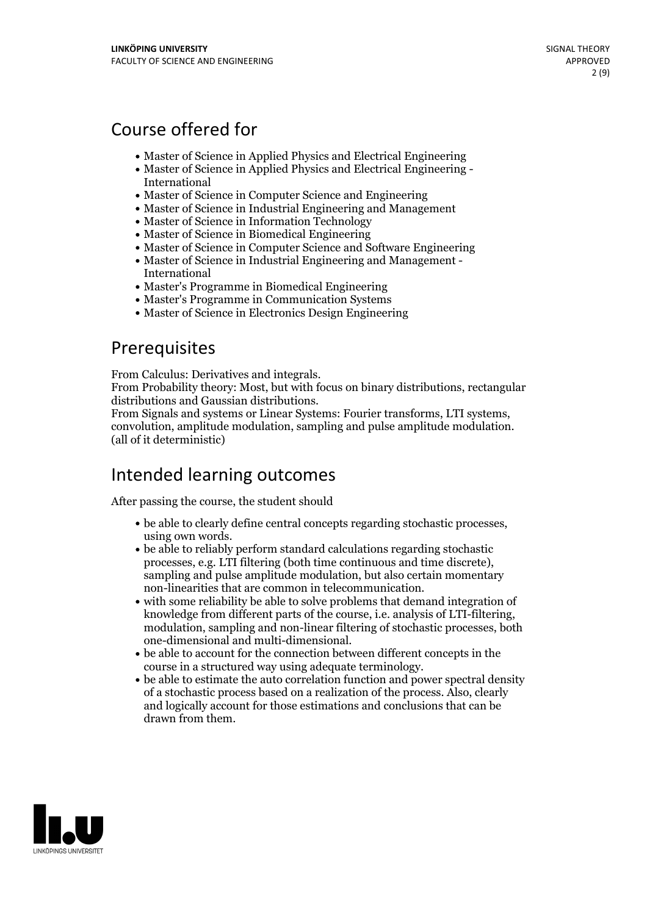# Course offered for

- Master of Science in Applied Physics and Electrical Engineering
- Master of Science in Applied Physics and Electrical Engineering International
- Master of Science in Computer Science and Engineering
- Master of Science in Industrial Engineering and Management
- Master of Science in Information Technology
- Master of Science in Biomedical Engineering
- Master of Science in Computer Science and Software Engineering
- Master of Science in Industrial Engineering and Management International
- Master's Programme in Biomedical Engineering
- Master's Programme in Communication Systems
- Master of Science in Electronics Design Engineering

# Prerequisites

From Calculus: Derivatives and integrals.<br>From Probability theory: Most, but with focus on binary distributions, rectangular<br>distributions and Gaussian distributions.

From Signals and systems or Linear Systems: Fourier transforms, LTI systems, convolution, amplitude modulation, sampling and pulse amplitude modulation. (all of it deterministic)

## Intended learning outcomes

After passing the course, the student should

- be able to clearly define central concepts regarding stochastic processes, using own words. be able to reliably perform standard calculations regarding stochastic
- processes, e.g. LTI filtering (both time continuous and time discrete), sampling and pulse amplitude modulation, but also certain momentary
- non-linearities that are common in telecommunication.<br>• with some reliability be able to solve problems that demand integration of knowledge from different parts of the course, i.e. analysis of LTI-filtering, modulation, sampling and non-linear filtering of stochastic processes, both one-dimensional and multi-dimensional.<br>• be able to account for the connection between different concepts in the
- course in <sup>a</sup> structured way using adequate terminology. be able to estimate the auto correlation function and power spectral density
- of a stochastic process based on a realization of the process. Also, clearly and logically account for those estimations and conclusions that can be drawn from them.

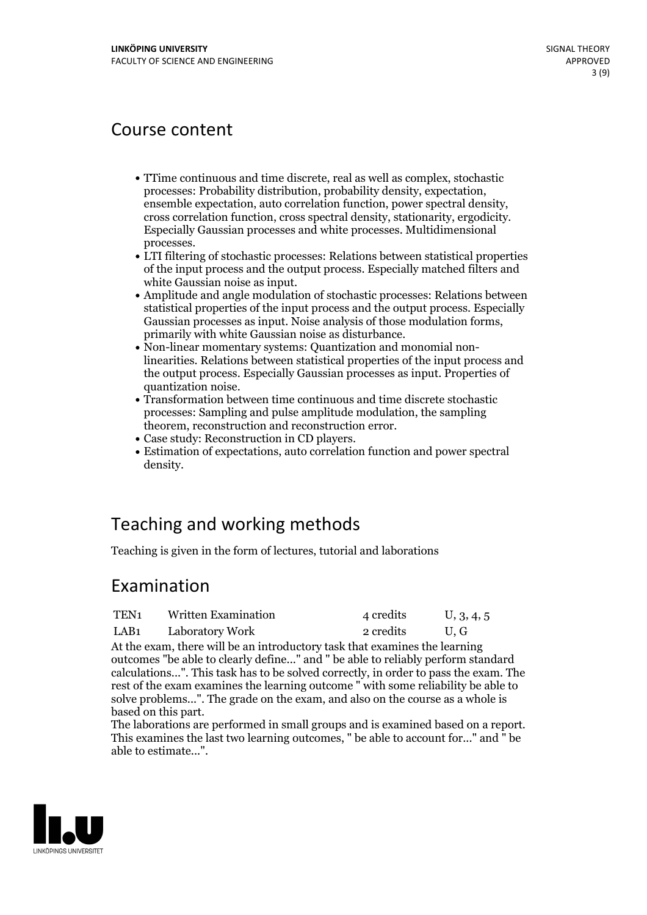## Course content

- TTime continuous and time discrete, real as well as complex, stochastic ensemble expectation, auto correlation function, power spectral density, cross correlation function, cross spectral density, stationarity, ergodicity.<br>Especially Gaussian processes and white processes. Multidimensional
- processes. LTI filtering of stochastic processes: Relations between statistical properties of the input process and the output process. Especially matched filters and
- Amplitude and angle modulation of stochastic processes: Relations between statistical properties of the input process and the output process. Especially Gaussian processes as input. Noise analysis of those modulation forms,<br>primarily with white Gaussian noise as disturbance.<br>Non-linear momentary systems: Quantization and monomial non-
- linearities. Relations between statistical properties of the input process and the output process. Especially Gaussian processes as input. Properties of quantization noise.<br>• Transformation between time continuous and time discrete stochastic
- processes: Sampling and pulse amplitude modulation, the sampling
- 
- Case study: Reconstruction in CD players.<br>• Estimation of expectations, auto correlation function and power spectral density.

# Teaching and working methods

Teaching is given in the form of lectures, tutorial and laborations

## Examination

| TEN <sub>1</sub> | <b>Written Examination</b> | 4 credits | U, 3, 4, 5 |
|------------------|----------------------------|-----------|------------|
| LAB <sub>1</sub> | Laboratory Work            | 2 credits | U.G        |

At the exam, there will be an introductory task that examines the learning outcomes "be able to clearly define..." and " be able to reliably perform standard calculations...". This task has to be solved correctly, in order to pass the exam. The rest of the exam examines the learning outcome " with some reliability be able to solve problems...". The grade on the exam, and also on the course as a whole is

The laborations are performed in small groups and is examined based on a report.<br>This examines the last two learning outcomes, " be able to account for..." and " be able to estimate...".

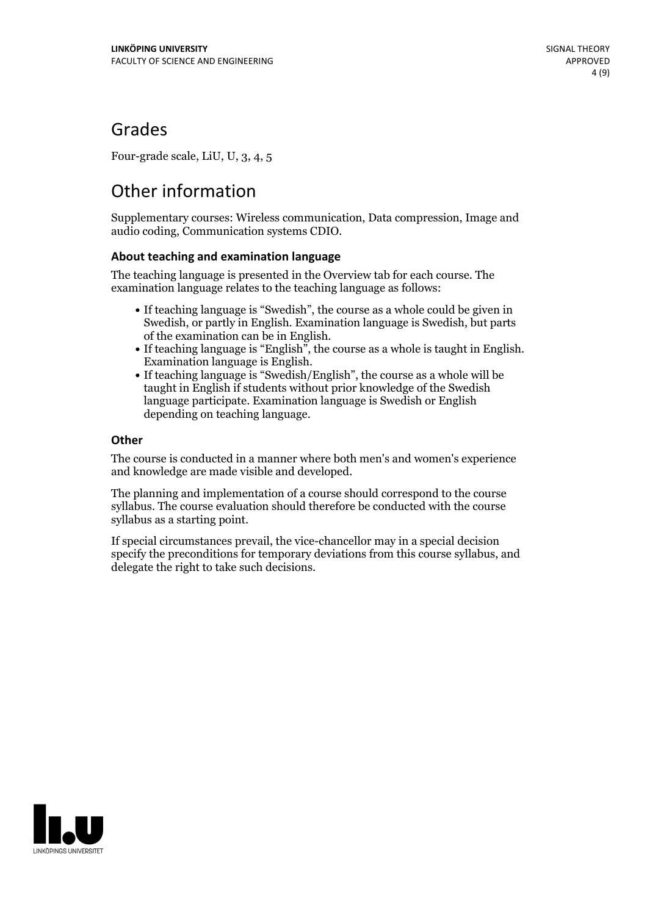## Grades

Four-grade scale, LiU, U, 3, 4, 5

# Other information

Supplementary courses: Wireless communication, Data compression, Image and audio coding, Communication systems CDIO.

## **About teaching and examination language**

The teaching language is presented in the Overview tab for each course. The examination language relates to the teaching language as follows:

- If teaching language is "Swedish", the course as a whole could be given in Swedish, or partly in English. Examination language is Swedish, but parts
- of the examination can be in English. If teaching language is "English", the course as <sup>a</sup> whole is taught in English. Examination language is English. If teaching language is "Swedish/English", the course as <sup>a</sup> whole will be
- taught in English if students without prior knowledge of the Swedish language participate. Examination language is Swedish or English depending on teaching language.

### **Other**

The course is conducted in a manner where both men's and women's experience and knowledge are made visible and developed.

The planning and implementation of a course should correspond to the course syllabus. The course evaluation should therefore be conducted with the course syllabus as a starting point.

If special circumstances prevail, the vice-chancellor may in a special decision specify the preconditions for temporary deviations from this course syllabus, and delegate the right to take such decisions.

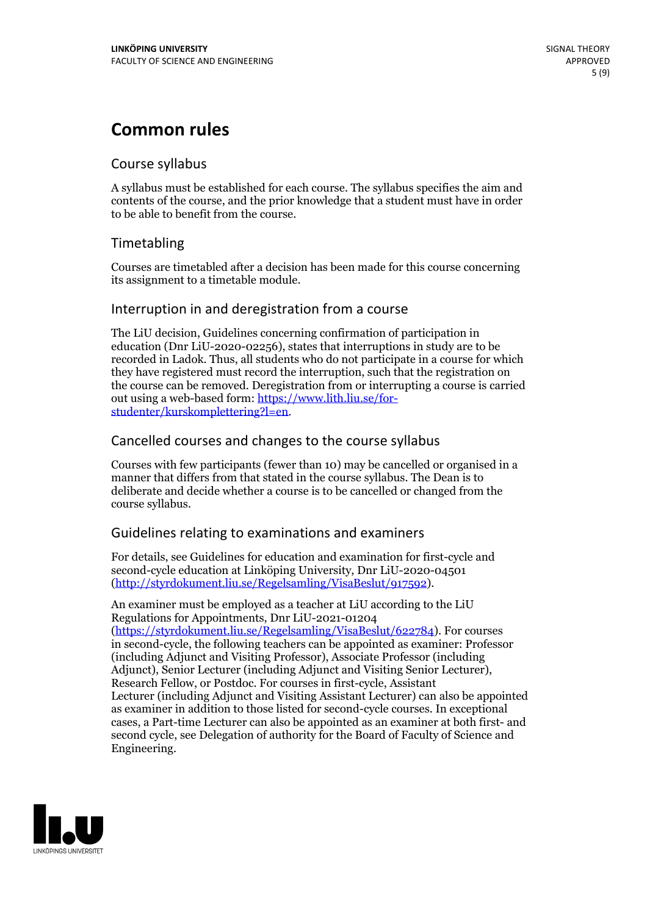# **Common rules**

## Course syllabus

A syllabus must be established for each course. The syllabus specifies the aim and contents of the course, and the prior knowledge that a student must have in order to be able to benefit from the course.

## Timetabling

Courses are timetabled after a decision has been made for this course concerning its assignment to a timetable module.

## Interruption in and deregistration from a course

The LiU decision, Guidelines concerning confirmation of participation in education (Dnr LiU-2020-02256), states that interruptions in study are to be recorded in Ladok. Thus, all students who do not participate in a course for which they have registered must record the interruption, such that the registration on the course can be removed. Deregistration from or interrupting a course is carried out using <sup>a</sup> web-based form: https://www.lith.liu.se/for- [studenter/kurskomplettering?l=en.](https://www.lith.liu.se/for-studenter/kurskomplettering?l=en)

## Cancelled courses and changes to the course syllabus

Courses with few participants (fewer than 10) may be cancelled or organised in a manner that differs from that stated in the course syllabus. The Dean is to deliberate and decide whether a course is to be cancelled or changed from the course syllabus.

## Guidelines relating to examinations and examiners

For details, see Guidelines for education and examination for first-cycle and second-cycle education at Linköping University, Dnr LiU-2020-04501 [\(http://styrdokument.liu.se/Regelsamling/VisaBeslut/917592\)](http://styrdokument.liu.se/Regelsamling/VisaBeslut/917592).

An examiner must be employed as a teacher at LiU according to the LiU Regulations for Appointments, Dnr LiU-2021-01204 [\(https://styrdokument.liu.se/Regelsamling/VisaBeslut/622784](https://styrdokument.liu.se/Regelsamling/VisaBeslut/622784)). For courses in second-cycle, the following teachers can be appointed as examiner: Professor (including Adjunct and Visiting Professor), Associate Professor (including Adjunct), Senior Lecturer (including Adjunct and Visiting Senior Lecturer), Research Fellow, or Postdoc. For courses in first-cycle, Assistant Lecturer (including Adjunct and Visiting Assistant Lecturer) can also be appointed as examiner in addition to those listed for second-cycle courses. In exceptional cases, a Part-time Lecturer can also be appointed as an examiner at both first- and second cycle, see Delegation of authority for the Board of Faculty of Science and Engineering.

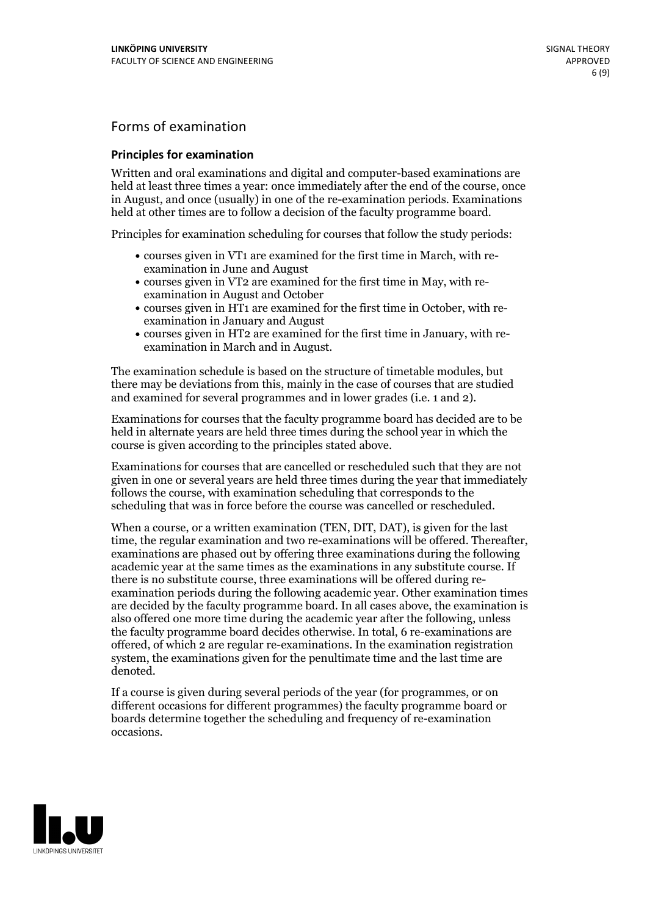## Forms of examination

#### **Principles for examination**

Written and oral examinations and digital and computer-based examinations are held at least three times a year: once immediately after the end of the course, once in August, and once (usually) in one of the re-examination periods. Examinations held at other times are to follow a decision of the faculty programme board.

Principles for examination scheduling for courses that follow the study periods:

- courses given in VT1 are examined for the first time in March, with re-examination in June and August
- courses given in VT2 are examined for the first time in May, with re-examination in August and October
- courses given in HT1 are examined for the first time in October, with re-examination in January and August
- courses given in HT2 are examined for the first time in January, with re-examination in March and in August.

The examination schedule is based on the structure of timetable modules, but there may be deviations from this, mainly in the case of courses that are studied and examined for several programmes and in lower grades (i.e. 1 and 2).

Examinations for courses that the faculty programme board has decided are to be held in alternate years are held three times during the school year in which the course is given according to the principles stated above.

Examinations for courses that are cancelled orrescheduled such that they are not given in one or several years are held three times during the year that immediately follows the course, with examination scheduling that corresponds to the scheduling that was in force before the course was cancelled or rescheduled.

When a course, or a written examination (TEN, DIT, DAT), is given for the last time, the regular examination and two re-examinations will be offered. Thereafter, examinations are phased out by offering three examinations during the following academic year at the same times as the examinations in any substitute course. If there is no substitute course, three examinations will be offered during re- examination periods during the following academic year. Other examination times are decided by the faculty programme board. In all cases above, the examination is also offered one more time during the academic year after the following, unless the faculty programme board decides otherwise. In total, 6 re-examinations are offered, of which 2 are regular re-examinations. In the examination registration system, the examinations given for the penultimate time and the last time are denoted.

If a course is given during several periods of the year (for programmes, or on different occasions for different programmes) the faculty programme board or boards determine together the scheduling and frequency of re-examination occasions.

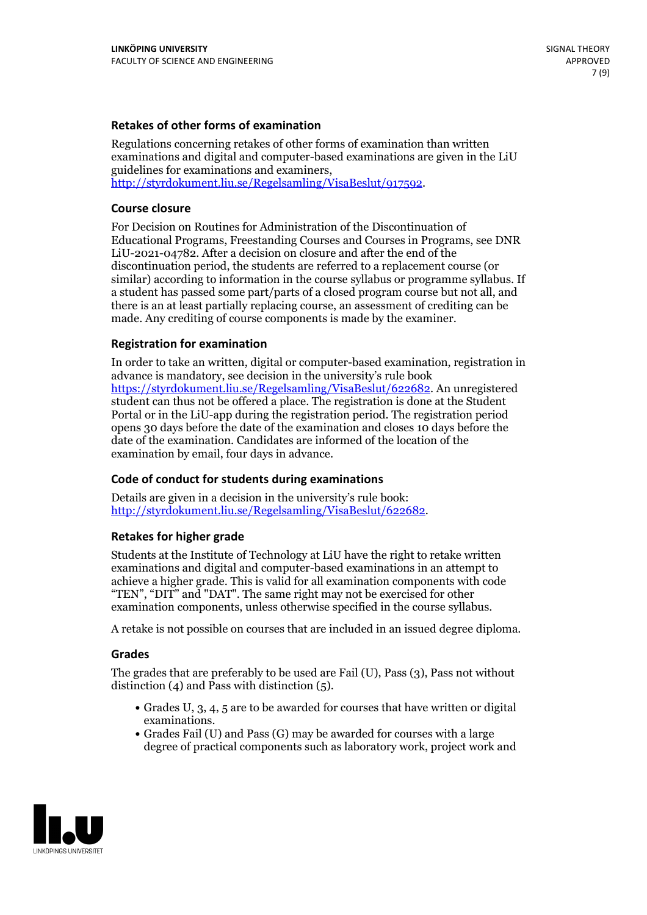### **Retakes of other forms of examination**

Regulations concerning retakes of other forms of examination than written examinations and digital and computer-based examinations are given in the LiU guidelines for examinations and examiners, [http://styrdokument.liu.se/Regelsamling/VisaBeslut/917592.](http://styrdokument.liu.se/Regelsamling/VisaBeslut/917592)

#### **Course closure**

For Decision on Routines for Administration of the Discontinuation of Educational Programs, Freestanding Courses and Courses in Programs, see DNR LiU-2021-04782. After a decision on closure and after the end of the discontinuation period, the students are referred to a replacement course (or similar) according to information in the course syllabus or programme syllabus. If a student has passed some part/parts of a closed program course but not all, and there is an at least partially replacing course, an assessment of crediting can be made. Any crediting of course components is made by the examiner.

### **Registration for examination**

In order to take an written, digital or computer-based examination, registration in advance is mandatory, see decision in the university's rule book [https://styrdokument.liu.se/Regelsamling/VisaBeslut/622682.](https://styrdokument.liu.se/Regelsamling/VisaBeslut/622682) An unregistered student can thus not be offered a place. The registration is done at the Student Portal or in the LiU-app during the registration period. The registration period opens 30 days before the date of the examination and closes 10 days before the date of the examination. Candidates are informed of the location of the examination by email, four days in advance.

### **Code of conduct for students during examinations**

Details are given in a decision in the university's rule book: <http://styrdokument.liu.se/Regelsamling/VisaBeslut/622682>.

#### **Retakes for higher grade**

Students at the Institute of Technology at LiU have the right to retake written examinations and digital and computer-based examinations in an attempt to achieve a higher grade. This is valid for all examination components with code "TEN", "DIT" and "DAT". The same right may not be exercised for other examination components, unless otherwise specified in the course syllabus.

A retake is not possible on courses that are included in an issued degree diploma.

#### **Grades**

The grades that are preferably to be used are Fail (U), Pass (3), Pass not without distinction  $(4)$  and Pass with distinction  $(5)$ .

- Grades U, 3, 4, 5 are to be awarded for courses that have written or digital examinations.<br>• Grades Fail (U) and Pass (G) may be awarded for courses with a large
- degree of practical components such as laboratory work, project work and

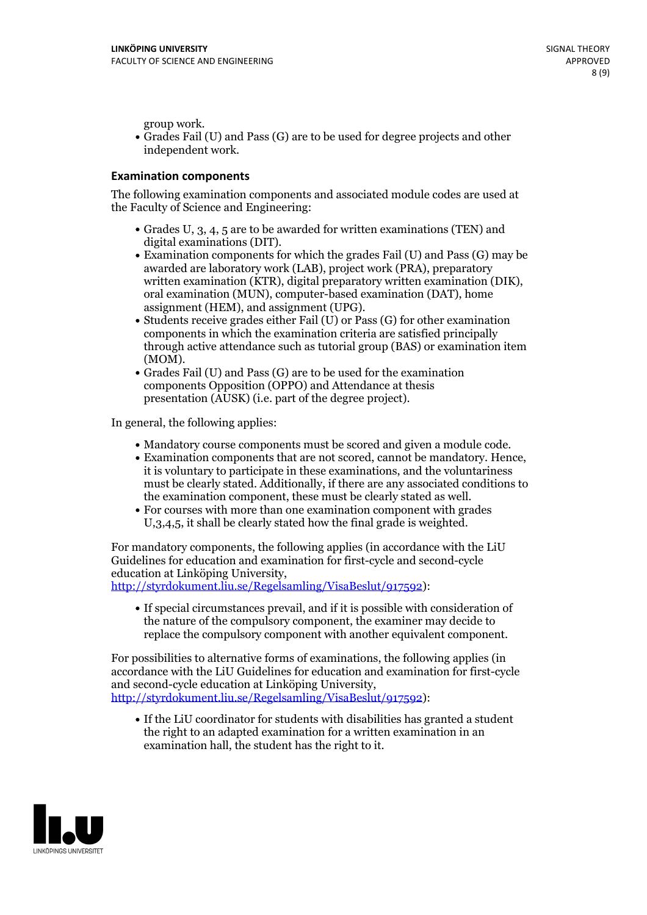group work.<br>• Grades Fail (U) and Pass (G) are to be used for degree projects and other independent work.

#### **Examination components**

The following examination components and associated module codes are used at the Faculty of Science and Engineering:

- Grades U, 3, 4, 5 are to be awarded for written examinations (TEN) and
- digital examinations (DIT).<br>• Examination components for which the grades Fail (U) and Pass (G) may be awarded are laboratory work (LAB), project work (PRA), preparatory written examination (KTR), digital preparatory written examination (DIK), oral examination (MUN), computer-based examination (DAT), home
- assignment (HEM), and assignment (UPG).<br>• Students receive grades either Fail (U) or Pass (G) for other examination components in which the examination criteria are satisfied principally through active attendance such as tutorial group (BAS) or examination item
- (MOM).<br>• Grades Fail (U) and Pass (G) are to be used for the examination components Opposition (OPPO) and Attendance at thesis presentation (AUSK) (i.e. part of the degree project).

In general, the following applies:

- 
- Mandatory course components must be scored and given <sup>a</sup> module code. Examination components that are not scored, cannot be mandatory. Hence, it is voluntary to participate in these examinations, and the voluntariness must be clearly stated. Additionally, if there are any associated conditions to
- the examination component, these must be clearly stated as well.<br>• For courses with more than one examination component with grades U,3,4,5, it shall be clearly stated how the final grade is weighted.

For mandatory components, the following applies (in accordance with the LiU Guidelines for education and examination for first-cycle and second-cycle education at Linköping University,<br>[http://styrdokument.liu.se/Regelsamling/VisaBeslut/917592\)](http://styrdokument.liu.se/Regelsamling/VisaBeslut/917592):

If special circumstances prevail, and if it is possible with consideration of the nature of the compulsory component, the examiner may decide to replace the compulsory component with another equivalent component.

For possibilities to alternative forms of examinations, the following applies (in accordance with the LiU Guidelines for education and examination for first-cycle [http://styrdokument.liu.se/Regelsamling/VisaBeslut/917592\)](http://styrdokument.liu.se/Regelsamling/VisaBeslut/917592):

If the LiU coordinator for students with disabilities has granted a student the right to an adapted examination for a written examination in an examination hall, the student has the right to it.